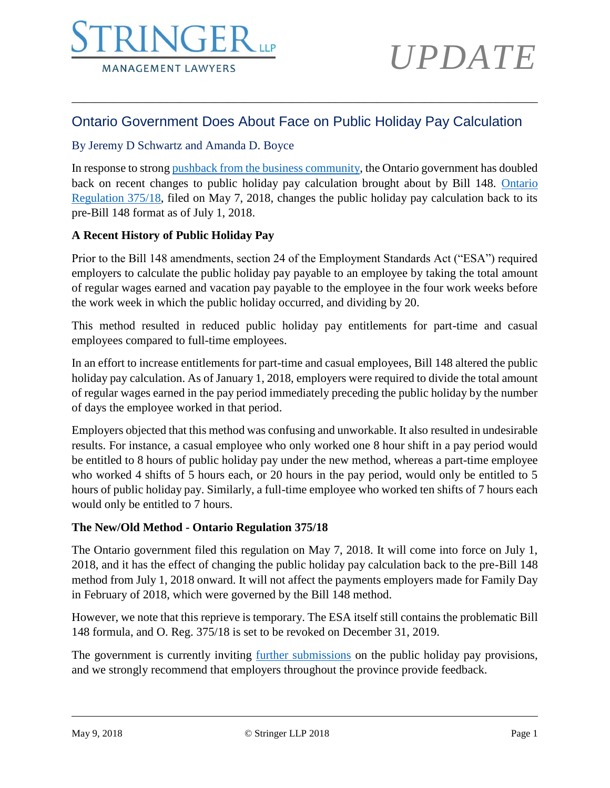

# *UPDATE*

## Ontario Government Does About Face on Public Holiday Pay Calculation

\_\_\_\_\_\_\_\_\_\_\_\_\_\_\_\_\_\_\_\_\_\_\_\_\_\_\_\_\_\_\_\_\_\_\_\_\_\_\_\_\_\_\_\_\_\_\_\_\_\_\_\_\_\_\_\_\_\_\_\_\_\_\_\_\_\_\_\_\_\_\_\_\_\_\_\_\_\_

### By Jeremy D Schwartz and Amanda D. Boyce

In response to strong [pushback from the business community,](https://www.theglobeandmail.com/business/small-business/managing/article-ontario-government-backs-down-on-controversial-holiday-pay-changes/) the Ontario government has doubled back on recent changes to public holiday pay calculation brought about by Bill 148. [Ontario](https://www.ontario.ca/laws/regulation/r18375)  [Regulation 375/18,](https://www.ontario.ca/laws/regulation/r18375) filed on May 7, 2018, changes the public holiday pay calculation back to its pre-Bill 148 format as of July 1, 2018.

#### **A Recent History of Public Holiday Pay**

Prior to the Bill 148 amendments, section 24 of the Employment Standards Act ("ESA") required employers to calculate the public holiday pay payable to an employee by taking the total amount of regular wages earned and vacation pay payable to the employee in the four work weeks before the work week in which the public holiday occurred, and dividing by 20.

This method resulted in reduced public holiday pay entitlements for part-time and casual employees compared to full-time employees.

In an effort to increase entitlements for part-time and casual employees, Bill 148 altered the public holiday pay calculation. As of January 1, 2018, employers were required to divide the total amount of regular wages earned in the pay period immediately preceding the public holiday by the number of days the employee worked in that period.

Employers objected that this method was confusing and unworkable. It also resulted in undesirable results. For instance, a casual employee who only worked one 8 hour shift in a pay period would be entitled to 8 hours of public holiday pay under the new method, whereas a part-time employee who worked 4 shifts of 5 hours each, or 20 hours in the pay period, would only be entitled to 5 hours of public holiday pay. Similarly, a full-time employee who worked ten shifts of 7 hours each would only be entitled to 7 hours.

#### **The New/Old Method - Ontario Regulation 375/18**

The Ontario government filed this regulation on May 7, 2018. It will come into force on July 1, 2018, and it has the effect of changing the public holiday pay calculation back to the pre-Bill 148 method from July 1, 2018 onward. It will not affect the payments employers made for Family Day in February of 2018, which were governed by the Bill 148 method.

However, we note that this reprieve is temporary. The ESA itself still contains the problematic Bill 148 formula, and O. Reg. 375/18 is set to be revoked on December 31, 2019.

The government is currently inviting <u>further submissions</u> on the public holiday pay provisions, and we strongly recommend that employers throughout the province provide feedback.